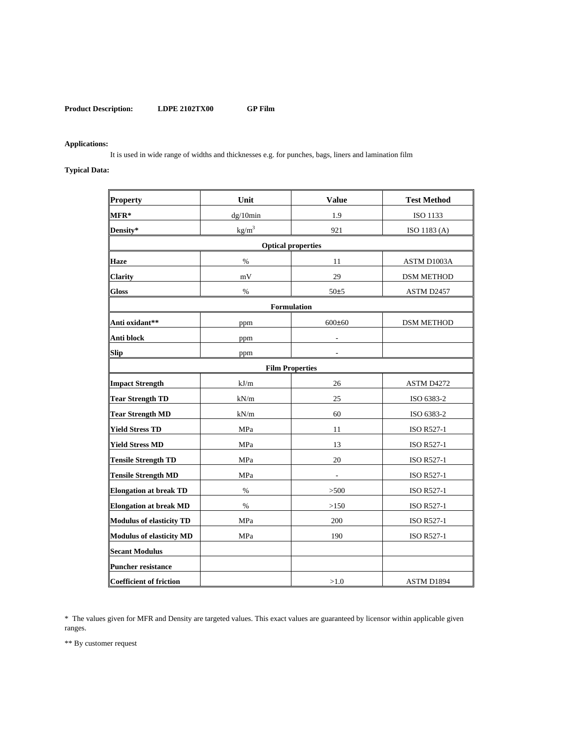## **Applications:**

It is used in wide range of widths and thicknesses e.g. for punches, bags, liners and lamination film

# **Typical Data:**

| Property                        | Unit              | <b>Value</b> | <b>Test Method</b> |
|---------------------------------|-------------------|--------------|--------------------|
| MFR*                            | dg/10min          | 1.9          | ISO 1133           |
| Density*                        | kg/m <sup>3</sup> | 921          | ISO 1183 (A)       |
| <b>Optical properties</b>       |                   |              |                    |
| <b>Haze</b>                     | $\frac{0}{0}$     | 11           | ASTM D1003A        |
| <b>Clarity</b>                  | mV                | 29           | <b>DSM METHOD</b>  |
| <b>Gloss</b>                    | $\%$              | 50±5         | ASTM D2457         |
| Formulation                     |                   |              |                    |
| Anti oxidant**                  | ppm               | $600 \pm 60$ | <b>DSM METHOD</b>  |
| Anti block                      | ppm               |              |                    |
| <b>Slip</b>                     | ppm               |              |                    |
| <b>Film Properties</b>          |                   |              |                    |
| <b>Impact Strength</b>          | kJ/m              | 26           | ASTM D4272         |
| <b>Tear Strength TD</b>         | kN/m              | 25           | ISO 6383-2         |
| <b>Tear Strength MD</b>         | kN/m              | 60           | ISO 6383-2         |
| <b>Yield Stress TD</b>          | MPa               | 11           | <b>ISO R527-1</b>  |
| <b>Yield Stress MD</b>          | MPa               | 13           | <b>ISO R527-1</b>  |
| <b>Tensile Strength TD</b>      | MPa               | 20           | <b>ISO R527-1</b>  |
| <b>Tensile Strength MD</b>      | MPa               |              | <b>ISO R527-1</b>  |
| <b>Elongation at break TD</b>   | $\%$              | >500         | <b>ISO R527-1</b>  |
| <b>Elongation at break MD</b>   | %                 | >150         | <b>ISO R527-1</b>  |
| <b>Modulus of elasticity TD</b> | MPa               | 200          | <b>ISO R527-1</b>  |
| <b>Modulus of elasticity MD</b> | MPa               | 190          | <b>ISO R527-1</b>  |
| <b>Secant Modulus</b>           |                   |              |                    |
| <b>Puncher resistance</b>       |                   |              |                    |
| <b>Coefficient of friction</b>  |                   | >1.0         | ASTM D1894         |

\* The values given for MFR and Density are targeted values. This exact values are guaranteed by licensor within applicable given ranges.

\*\* By customer request